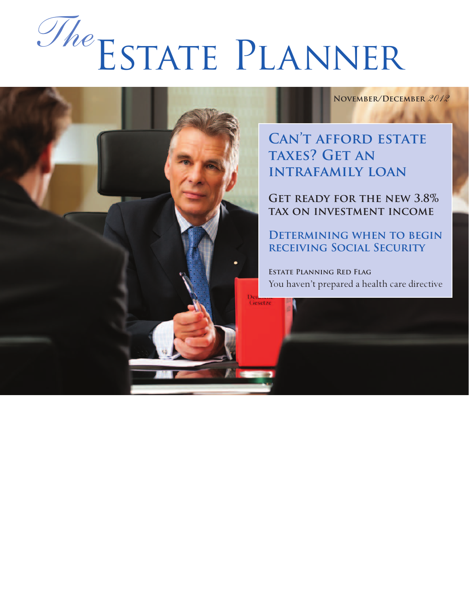# Estate Planner *The*

Gesetz

**November/December** *2012*

**Can't afford estate taxes? GET AN intrafamily loan**

**Get ready for the new 3.8% tax on investment income**

**Determining when to begin receiving Social Security** 

**Estate Planning Red Flag** You haven't prepared a health care directive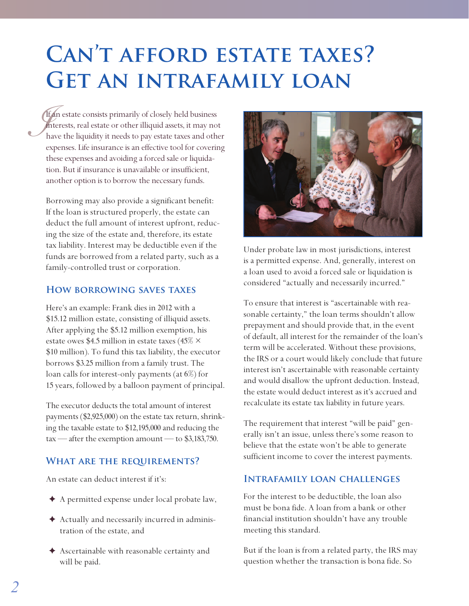# **Can't afford estate taxes? Get an intrafamily loan**

*If*  $\frac{1}{h}$ If an estate consists primarily of closely held business interests, real estate or other illiquid assets, it may not have the liquidity it needs to pay estate taxes and other expenses. Life insurance is an effective tool for covering these expenses and avoiding a forced sale or liquidation. But if insurance is unavailable or insufficient, another option is to borrow the necessary funds.

Borrowing may also provide a significant benefit: If the loan is structured properly, the estate can deduct the full amount of interest upfront, reducing the size of the estate and, therefore, its estate tax liability. Interest may be deductible even if the funds are borrowed from a related party, such as a family-controlled trust or corporation.

#### **How borrowing saves taxes**

Here's an example: Frank dies in 2012 with a \$15.12 million estate, consisting of illiquid assets. After applying the \$5.12 million exemption, his estate owes \$4.5 million in estate taxes (45%  $\times$ \$10 million). To fund this tax liability, the executor borrows \$3.25 million from a family trust. The loan calls for interest-only payments (at 6%) for 15 years, followed by a balloon payment of principal.

The executor deducts the total amount of interest payments (\$2,925,000) on the estate tax return, shrinking the taxable estate to \$12,195,000 and reducing the  $\text{tax}$  — after the exemption amount — to \$3,183,750.

#### **What are the requirements?**

An estate can deduct interest if it's:

- ✦ A permitted expense under local probate law,
- ✦ Actually and necessarily incurred in administration of the estate, and
- ✦ Ascertainable with reasonable certainty and will be paid.



Under probate law in most jurisdictions, interest is a permitted expense. And, generally, interest on a loan used to avoid a forced sale or liquidation is considered "actually and necessarily incurred."

To ensure that interest is "ascertainable with reasonable certainty," the loan terms shouldn't allow prepayment and should provide that, in the event of default, all interest for the remainder of the loan's term will be accelerated. Without these provisions, the IRS or a court would likely conclude that future interest isn't ascertainable with reasonable certainty and would disallow the upfront deduction. Instead, the estate would deduct interest as it's accrued and recalculate its estate tax liability in future years.

The requirement that interest "will be paid" generally isn't an issue, unless there's some reason to believe that the estate won't be able to generate sufficient income to cover the interest payments.

#### **Intrafamily loan challenges**

For the interest to be deductible, the loan also must be bona fide. A loan from a bank or other financial institution shouldn't have any trouble meeting this standard.

But if the loan is from a related party, the IRS may question whether the transaction is bona fide. So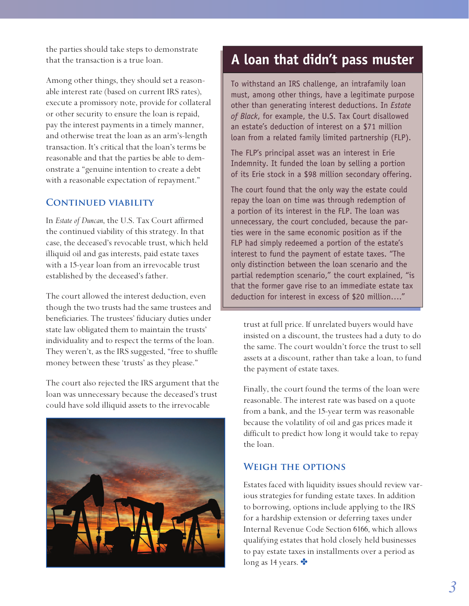the parties should take steps to demonstrate that the transaction is a true loan.

Among other things, they should set a reasonable interest rate (based on current IRS rates), execute a promissory note, provide for collateral or other security to ensure the loan is repaid, pay the interest payments in a timely manner, and otherwise treat the loan as an arm's-length transaction. It's critical that the loan's terms be reasonable and that the parties be able to demonstrate a "genuine intention to create a debt with a reasonable expectation of repayment."

#### **Continued viability**

In *Estate of Duncan*, the U.S. Tax Court affirmed the continued viability of this strategy. In that case, the deceased's revocable trust, which held illiquid oil and gas interests, paid estate taxes with a 15-year loan from an irrevocable trust established by the deceased's father.

The court allowed the interest deduction, even though the two trusts had the same trustees and beneficiaries. The trustees' fiduciary duties under state law obligated them to maintain the trusts' individuality and to respect the terms of the loan. They weren't, as the IRS suggested, "free to shuffle money between these 'trusts' as they please."

The court also rejected the IRS argument that the loan was unnecessary because the deceased's trust could have sold illiquid assets to the irrevocable



### **A loan that didn't pass muster**

To withstand an IRS challenge, an intrafamily loan must, among other things, have a legitimate purpose other than generating interest deductions. In *Estate of Black*, for example, the U.S. Tax Court disallowed an estate's deduction of interest on a \$71 million loan from a related family limited partnership (FLP).

The FLP's principal asset was an interest in Erie Indemnity. It funded the loan by selling a portion of its Erie stock in a \$98 million secondary offering.

The court found that the only way the estate could repay the loan on time was through redemption of a portion of its interest in the FLP. The loan was unnecessary, the court concluded, because the parties were in the same economic position as if the FLP had simply redeemed a portion of the estate's interest to fund the payment of estate taxes. "The only distinction between the loan scenario and the partial redemption scenario," the court explained, "is that the former gave rise to an immediate estate tax deduction for interest in excess of \$20 million…."

trust at full price. If unrelated buyers would have insisted on a discount, the trustees had a duty to do the same. The court wouldn't force the trust to sell assets at a discount, rather than take a loan, to fund the payment of estate taxes.

Finally, the court found the terms of the loan were reasonable. The interest rate was based on a quote from a bank, and the 15-year term was reasonable because the volatility of oil and gas prices made it difficult to predict how long it would take to repay the loan.

#### **Weigh the options**

Estates faced with liquidity issues should review various strategies for funding estate taxes. In addition to borrowing, options include applying to the IRS for a hardship extension or deferring taxes under Internal Revenue Code Section 6166, which allows qualifying estates that hold closely held businesses to pay estate taxes in installments over a period as long as 14 years.  $\bullet$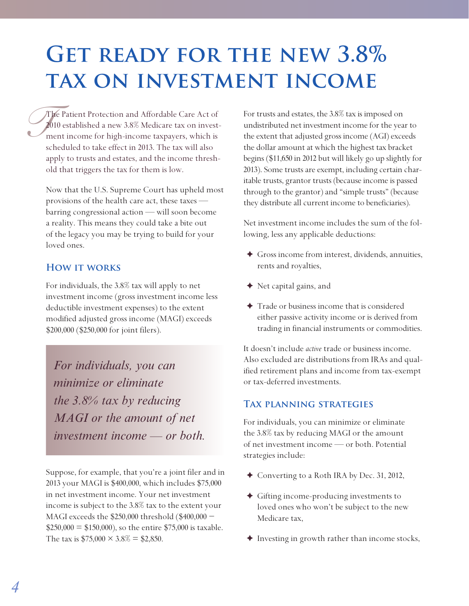## **Get ready for the new 3.8% tax on investment income**

 $\int_{\frac{1}{20}}^{\frac{1}{20}}$ The Patient Protection and Affordable Care Act of 2010 established a new 3.8% Medicare tax on investment income for high-income taxpayers, which is scheduled to take effect in 2013. The tax will also apply to trusts and estates, and the income threshold that triggers the tax for them is low.

Now that the U.S. Supreme Court has upheld most provisions of the health care act, these taxes barring congressional action — will soon become a reality. This means they could take a bite out of the legacy you may be trying to build for your loved ones.

#### **How it works**

For individuals, the 3.8% tax will apply to net investment income (gross investment income less deductible investment expenses) to the extent modified adjusted gross income (MAGI) exceeds \$200,000 (\$250,000 for joint filers).

*For individuals, you can minimize or eliminate the 3.8% tax by reducing MAGI or the amount of net investment income — or both.*

Suppose, for example, that you're a joint filer and in 2013 your MAGI is \$400,000, which includes \$75,000 in net investment income. Your net investment income is subject to the 3.8% tax to the extent your MAGI exceeds the \$250,000 threshold (\$400,000 −  $$250,000 = $150,000$ , so the entire \$75,000 is taxable. The tax is  $$75,000 \times 3.8\% = $2,850$ .

For trusts and estates, the 3.8% tax is imposed on undistributed net investment income for the year to the extent that adjusted gross income (AGI) exceeds the dollar amount at which the highest tax bracket begins (\$11,650 in 2012 but will likely go up slightly for 2013). Some trusts are exempt, including certain charitable trusts, grantor trusts (because income is passed through to the grantor) and "simple trusts" (because they distribute all current income to beneficiaries).

Net investment income includes the sum of the following, less any applicable deductions:

- ✦ Gross income from interest, dividends, annuities, rents and royalties,
- ✦ Net capital gains, and
- ✦ Trade or business income that is considered either passive activity income or is derived from trading in financial instruments or commodities.

It doesn't include *active* trade or business income. Also excluded are distributions from IRAs and qualified retirement plans and income from tax-exempt or tax-deferred investments.

#### **Tax planning strategies**

For individuals, you can minimize or eliminate the 3.8% tax by reducing MAGI or the amount of net investment income — or both. Potential strategies include:

- ✦ Converting to a Roth IRA by Dec. 31, 2012,
- ✦ Gifting income-producing investments to loved ones who won't be subject to the new Medicare tax,
- ✦ Investing in growth rather than income stocks,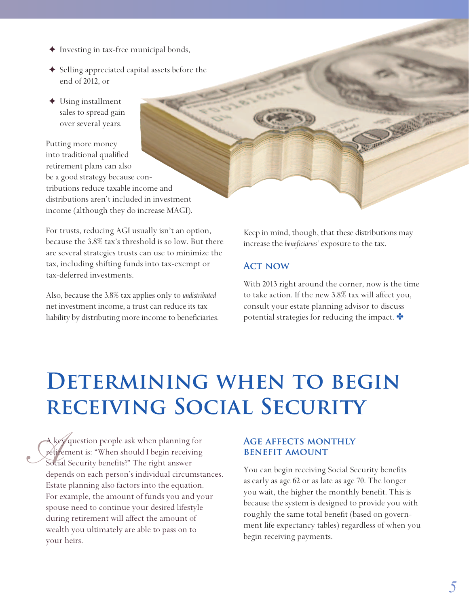- ✦ Investing in tax-free municipal bonds,
- ✦ Selling appreciated capital assets before the end of 2012, or
- ✦ Using installment sales to spread gain over several years.

Putting more money into traditional qualified retirement plans can also be a good strategy because contributions reduce taxable income and distributions aren't included in investment income (although they do increase MAGI).

For trusts, reducing AGI usually isn't an option, because the 3.8% tax's threshold is so low. But there are several strategies trusts can use to minimize the tax, including shifting funds into tax-exempt or tax-deferred investments.

Also, because the 3.8% tax applies only to *undistributed* net investment income, a trust can reduce its tax liability by distributing more income to beneficiaries. Keep in mind, though, that these distributions may increase the *beneficiaries'* exposure to the tax.

#### **Act now**

With 2013 right around the corner, now is the time to take action. If the new 3.8% tax will affect you, consult your estate planning advisor to discuss potential strategies for reducing the impact.  $\bullet$ 

## **DETERMINING WHEN TO BEGIN receiving Social Security**

A key<br>*Fetire*<br>Socia A key question people ask when planning for retirement is: "When should I begin receiving Social Security benefits?" The right answer depends on each person's individual circumstances. Estate planning also factors into the equation. For example, the amount of funds you and your spouse need to continue your desired lifestyle during retirement will affect the amount of wealth you ultimately are able to pass on to your heirs.

#### **Age affects monthly benefit amount**

You can begin receiving Social Security benefits as early as age 62 or as late as age 70. The longer you wait, the higher the monthly benefit. This is because the system is designed to provide you with roughly the same total benefit (based on government life expectancy tables) regardless of when you begin receiving payments.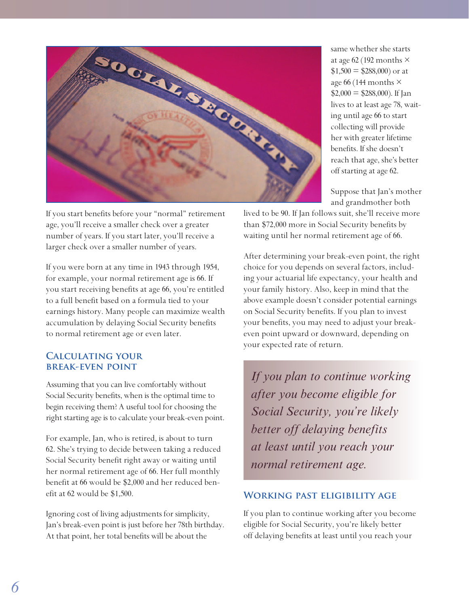

If you start benefits before your "normal" retirement age, you'll receive a smaller check over a greater number of years. If you start later, you'll receive a larger check over a smaller number of years.

If you were born at any time in 1943 through 1954, for example, your normal retirement age is 66. If you start receiving benefits at age 66, you're entitled to a full benefit based on a formula tied to your earnings history. Many people can maximize wealth accumulation by delaying Social Security benefits to normal retirement age or even later.

#### **Calculating your break-even point**

Assuming that you can live comfortably without Social Security benefits, when is the optimal time to begin receiving them? A useful tool for choosing the right starting age is to calculate your break-even point.

For example, Jan, who is retired, is about to turn 62. She's trying to decide between taking a reduced Social Security benefit right away or waiting until her normal retirement age of 66. Her full monthly benefit at 66 would be \$2,000 and her reduced benefit at 62 would be \$1,500.

Ignoring cost of living adjustments for simplicity, Jan's break-even point is just before her 78th birthday. At that point, her total benefits will be about the

same whether she starts at age 62 (192 months  $\times$  $$1,500 = $288,000$  or at age 66 (144 months  $\times$  $$2,000 = $288,000$ ). If Jan lives to at least age 78, waiting until age 66 to start collecting will provide her with greater lifetime benefits. If she doesn't reach that age, she's better off starting at age 62.

Suppose that Jan's mother and grandmother both

lived to be 90. If Jan follows suit, she'll receive more than \$72,000 more in Social Security benefits by waiting until her normal retirement age of 66.

After determining your break-even point, the right choice for you depends on several factors, including your actuarial life expectancy, your health and your family history. Also, keep in mind that the above example doesn't consider potential earnings on Social Security benefits. If you plan to invest your benefits, you may need to adjust your breakeven point upward or downward, depending on your expected rate of return.

*If you plan to continue working after you become eligible for Social Security, you're likely better off delaying benefits at least until you reach your normal retirement age.*

#### **Working past eligibility age**

If you plan to continue working after you become eligible for Social Security, you're likely better off delaying benefits at least until you reach your